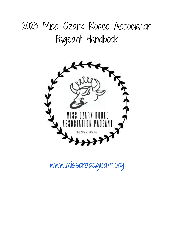# 2023 Miss Ozark Rodeo Association Pageant Handbook



[www.missorapageant.org](http://www.missorapageant.org)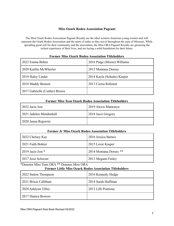# **Miss Ozark Rodeo Association Pageant**

The Miss Ozark Rodeo Association Pageant Royalty are the ideal western American young women and will represent the Ozark Rodeo Association and the sport of rodeo as they travel throughout the state of Missouri. While spreading good will for their community and the association, the Miss ORA Pageant Royalty are garnering the richest experience of their lives, and are laying a solid foundation for their future.

| 2022 Emma Bohrn                | 2016 Paige (Moore) Williams |  |
|--------------------------------|-----------------------------|--|
| 2020 Kaitlin McWhorter         | 2015 Montana Dorsey         |  |
| 2019 Haley Linder              | 2014 Kayla (Schulte) Kasper |  |
| 2018 Maddy Benson              | 2013 Cierra Robinett        |  |
| 2017 Gabrielle (Cuttler) Brown |                             |  |

## **Former Miss Ozark Rodeo Association Titleholders**

## **Former Miss Teen Ozark Rodeo Association Titleholders**

| 2022 Jacie Jost         | 2019 Alexis Mantonya |  |
|-------------------------|----------------------|--|
| 2021 Jadelen Mendenhall | 2018 Jacci Gregory   |  |
| 2020 Jenna Rujawitz     |                      |  |

## **Former Jr Miss Ozark Rodeo Association Titleholders**

| 2022 Chelsey Kay          | 2016 Jessica Barnes    |  |
|---------------------------|------------------------|--|
| 2021 Faith Bohrer         | 2015 Lexie Kasper      |  |
| $\vert$ 2019 Jacie Jost * | 2014 Montana Dorsey ** |  |
| 2017 Jessi Schweer        | 2013 Megann Finley     |  |

# \*Denotes Miss Teen ORA \*\* Denotes Miss ORA

# **Former Little Miss Ozark Rodeo Association Titleholders**

| 2022 Sutton Thompson | 2016 Kennedy Hedge  |  |
|----------------------|---------------------|--|
| 2021 Brixie Calliham | 2014 Sarah Huffman  |  |
| 2020 Adalynn Tilley  | 2013 Lilli Pontious |  |
| 2017 Danica Bowers   |                     |  |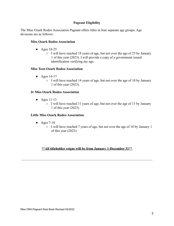# **Pageant Eligibility**

The Miss Ozark Rodeo Association Pageant offers titles in four separate age groups. Age divisions are as follows:

# **Miss Ozark Rodeo Association**

- Ages 18-25
	- I will have reached 18 years of age, but not over the age of 25 by January 1 of this year (2023). I will provide a copy of a government issued identification verifying my age.

# **Miss Teen Ozark Rodeo Association**

- Ages 14-17
	- I will have reached 14 years of age, but not over the age of 18 by January 1 of this year (2023).

# **Jr Miss Ozark Rodeo Association**

- $\bullet$  Ages 11-13
	- I will have reached 11 years of age, but not over the age of 13 by January 1 of this year (2023).

## **Little Miss Ozark Rodeo Association**

- $\bullet$  Ages 7-10
	- I will have reached 7 years of age, but not over the age of 10 by January 1 of this year (2023).

# **\*\*All titleholder reigns will be from January 1-December 31\*\***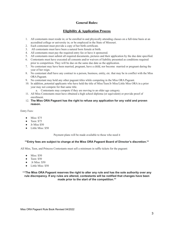## **General Rules:**

# **Eligibility & Application Process**

- 1. All contestants must reside in; or be enrolled in and physically attending classes on a full-time basis at an accredited college or university in; or be employed in the State of Missouri.
- 2. Each contestant must provide a copy of her birth certificate.
- 3. All contestants must have been a natural born female at birth.
- 4. All contestants must pay the required entry fee or have it sponsored.
- 5. All contestants must submit all required documents, pictures and their application by the due date specified.
- 6. Contestants must have executed all consents and/or waivers of liability presented as conditions required prior to competition. They will be due on the same due date as the application.
- 7. No contestant may have been married, pregnant, have a child, nor become married or pregnant during the year of her reign.
- 8. No contestant shall have any contract to a person, business, entity, etc. that may be in conflict with the Miss ORA Pageant.
- 9. No contestant may hold any other pageant titles while competing in the Miss ORA Pageant.
- 10. In addition, potential applicants who have held the title of Miss/Teen/Jr Miss/Little Miss ORA in a prior year may not compete for that same title.
	- a. Contestants may compete if they are moving to an older age category.
- 11. All Miss Contestants must have obtained a high school diploma (or equivalent) or provide proof of enrollment.
- 12. **The Miss ORA Pageant has the right to refuse any application for any valid and proven reason.**

Entry Fees:

- Miss: \$75
- Teen: \$75
- Jr Miss \$50
- Little Miss: \$50

Payment plans will be made available to those who need it

#### **\*\*Entry fees are subject to change at the Miss ORA Pageant Board of Director's discretion.\*\***

All Miss, Teen, and Princess Contestants must sell a minimum in raffle tickets for the pageant:

- Miss: \$50
- Teen: \$50
- Jr Miss:  $$50$
- Little Miss: \$50

\*\***The Miss ORA Pageant reserves the right to alter any rule and has the sole authority over any rule discrepancy. If any rules are altered, contestants will be notified that changes have been made prior to the start of the competition.\*\***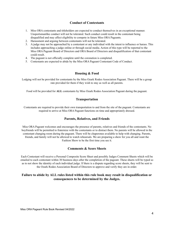# **Conduct of Contestants**

- 1. Miss ORA contestants and titleholders are expected to conduct themselves in an exceptional manner. Unsportsmanlike conduct will not be tolerated. Such conduct could result in the contestant being disqualified and may affect eligibility to compete in future Miss ORA Pageants.
- 2. Harassment and arguing between contestants will not be tolerated.
- 3. A judge may not be approached by a contestant or any individual with the intent to influence or harass. This includes approaching a judge online or through social media. Action of this type will be reported to the Miss ORA Pageant Board of Directors and ORA Board of Directors and disqualification of that contestant could result.
- 4. The pageant is not officially complete until the coronation is completed.
- 5. Contestants are expected to abide by the Miss ORA Pageant Contestant Code of Conduct.

### **Housing & Food**

Lodging will not be provided for contestants by the Miss Ozark Rodeo Association Pageant. There will be a group rate provided for them if they wish to stay as well as all parents.

Food will be provided for **ALL** contestants by Miss Ozark Rodeo Association Pageant during the pageant.

#### **Transportation**

Contestants are required to provide their own transportation to and from the site of the pageant. Contestants are required to arrive at Miss ORA Pageant functions on time and appropriately dressed.

#### **Parents, Relatives, and Friends**

Miss ORA Pageant welcomes and encourages the presence of parents, relatives and friends of the contestants. No boyfriends will be permitted to fraternize with the contestants or to distract them. No parents will be allowed in the contestant changing room during the pageant. There will be chaperones available to help with changing. Parents, friends, and family will not be allowed to watch rehearsals. We are preparing a show for you all and want the Fashion Show to be the first time you see it.

#### **Comments & Score Sheets**

Each Contestant will receive a Personal Composite Score Sheet and possibly Judges Comment Sheets which will be emailed to each contestant within 30 business days after the completion of the pageant. These sheets will be typed so as to not show the identity of each individual judge. If there is a dispute regarding score sheets, they will be sent to the Ozark Rodeo Association Board of Directors to approve and verify they are in order.

## **Failure to abide by ALL rules listed within this rule book may result in disqualification or consequences to be determined by the Judges.**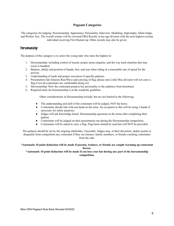## **Pageant Categories**

The categories for judging: Horsemanship, Appearance, Personality, Interview, Modeling, Impromptu, Silent Judge, and Written Test. The overall winner will be crowned ORA Royalty in her age division with the next highest scoring individual receiving First Runner-up. Other awards may also be given.

# Horsemanship

The purpose of this category is to select the young lady who rates the highest in:

- 1. Horsemanship: including control of mount, proper arena etiquette, and the way each situation that may occur is handled.
- 2. Balance, ability and position of hands, feet, and seat when riding at a reasonable rate of speed for the activity.
- 3. Understanding of leads and proper execution of specific patterns.
- 4. Presentation ride (Queens Run/Wave and carrying of flag, please note Little Miss division will not carry a flag if not all contestants are comfortable doing so).
- 5. Showmanship: How the contestant projects her personality to the audience from horseback.
- 6. Required attire for horsemanship is in the wardrobe guideline.

Other considerations in Horsemanship include, but are not limited to the following:

- The understanding and skill of the contestant will be judged, NOT the horse.
- Contestants should ride with one hand on the reins. An exception to this will be using 2 hands if necessary for safety purposes.
- Judges will ask knowledge based Horsemanship questions in the arena after completing their pattern.
- Contestants will be judged on their presentation run during the Horsemanship competition.
- Contestants will be asked to carry a flag. Flag boots should be used but will NOT be provided.

The patterns should be set by the reigning titleholder, if possible. Judges may, at their discretion, deduct points or disqualify from competition any contestant if they see trainers, family members, or friends coaching contestants from the side.

#### \*Automatic 10 point deduction will be made if parents, trainers, or friends are caught warming up contestant **horses.**

#### \*Automatic 10 point deduction will be made if you lose your hat during any part of the horsemanship **competition.**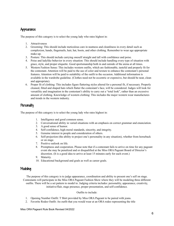# Appearance

The purpose of this category is to select the young lady who rates highest in:

- 1. Attractiveness
- 2. Grooming: This should include meticulous care in neatness and cleanliness in every detail such as complexion, hands, fingernails, hair, hat, boots, and other clothing. Remember to wear age appropriate make-up.
- 3. Posture: This should include carrying oneself straight and tall with confidence and poise.
- 4. Poise and ladylike behavior in every situation: This should include handling every type of situation with grace, style, and proper etiquette. Good sportsmanship both in and outside of the arena at all times.
- 5. Western Fashion Sense: This includes western outfits, which are fashionable, tasteful and properly fit for the contestant. Attention will be paid to the use of color and texture to enhance the contestant's personal features. Attention will be paid to suitability of the outfit to the occasion. Additional information is available in the wardrobe guideline. (Clothes need not be eccentric or expensive, but should be neat, clean and appropriate).
- 6. Proper fit of clothing: This includes figure flattering styles altered for a personal fit, if necessary. Properly cleaned, fitted and shaped hats which flatter the contestant's face, will be considered. Judges will look for versatility and imagination in the contestant's ability to carry out a "total look", rather than an excessive amount of clothing. Knowledge of western clothing: This includes the major western wear manufactures and trends in the western industry.

# **Personality**

The purpose of this category is to select the young lady who rates highest in:

- 1. Intelligence and good common sense.
- 2. Conversational ability in varied situations with an emphasis on correct grammar and enunciation.
- 3. A good sense of humor.
- 4. Self-confidence, high-moral standards, sincerity, and integrity.
- 5. Genuine interest in people and consideration of others.
- 6. Self-projection (the ability to project one's personality in any situation), whether from horseback or on stage.
- 7. Positive outlook on life.
- 8. Promptness and cooperation. Please note that if a contestant fails to arrive on time for any pageant event she may be penalized and or disqualified at the Miss ORA Pageant Board of Director's discretion. (It is a good idea to arrive at least 15 minutes early for each event.)
- 9. Maturity.
- 10. Educational background and goals as well as career goals.

# **Modeling**

The purpose of this category is to judge appearance, coordination and ability to present one's self on stage. Contestants will participate in the Miss ORA Pageant Fashion Show where they will be modeling three different outfits. There will be a set pattern to model to. Judging criteria includes: personality, appearance, creativity, initiative/flair, stage presence, proper presentation, and self-confidence.

#### Outfits to include:

- 1. Opening Number Outfit: T Shirt provided by Miss ORA Pageant to be paired with jeans.
- 2. Favorite Rodeo Outfit: An outfit that you would wear at an ORA rodeo representing the title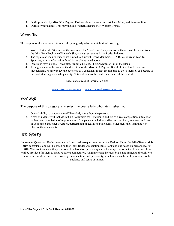- 3. Outfit provided by Miss ORA Pageant Fashion Show Sponsor: Secrest Tees, More, and Western Store
- 4. Outfit of your choice: This may include Western Elegance OR Western Trendy

# Written Test

The purpose of this category is to select the young lady who rates highest in knowledge:

- 1. Written test worth 50 points of the total score for Miss/Teen. The questions on the test will be taken from the ORA Rule Book, the ORA Web Site, and current events in the Rodeo industry.
- 2. The topics can include but are not limited to: Current Board Members, ORA Rules, Current Royalty, Sponsors, or any information found in the places listed above.
- 3. Questions may include: True/False, Multiple Choice, Short Answer, or Fill in the Blank
- 4. Arrangements can be made at the discretion of the Miss ORA Pageant Board of Directors to have an independent 3rd party ready the questions to a contestant if they are not able to do so themselves because of the contestants age/or reading ability. Notification must be made in advance of the contest.

Excellent sources of information are:

[www.missorapageant.org](http://www.missorapageant.org/) [www.ozarkrodeoassociation.org](http://www.ozarkrodeoassociation.org/)

# Silent Judge

The purpose of this category is to select the young lady who rates highest in:

- 1. Overall ability to conduct oneself like a lady throughout the pageant.
- 2. Areas of judging will include, but are not limited to: Behavior in and out of direct competition, interaction with others, completion of requirements of the pageant including a silent auction item, treatment and care of your horse and other livestock, participation in activities, punctuality, other areas the silent judge(s) observe the contestants.

# Public Speaking

Impromptu Questions- Each contestant will be asked two questions during the Fashion Show. For **Miss/Teen/and Jr Miss** contestants one will be based on the Ozark Rodeo Association Rule Book and one based on personality. For **Little Miss** contestants both questions will be based on personality and a list of questions that will be drawn from will be provided for them to practice before competition. Judging criteria includes but is not limited to the ability to answer the question, delivery, knowledge, enunciation, and personality, which includes the ability to relate to the audience and sense of humor.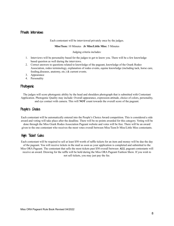## Private Interviews

Each contestant will be interviewed privately once by the judges.

#### **Miss/Teen:** 10 Minutes **Jr Miss/Little Miss:** 5 Minutes

Judging criteria includes:

- 1. Interviews will be personality based for the judges to get to know you. There will be a few knowledge based question as well during the interviews.
- 2. Correct answers to questions related to knowledge of the pageant, knowledge of the Ozark Rodeo Association, rodeo terminology, explanation of rodeo events, equine knowledge (including tack, horse care, feeding,diseases, anatomy, etc.) & current events.
- 3. Appearance
- 4. Personality

# Photogenic

The judges will score photogenic ability by the head and shoulders photograph that is submitted with Contestant Application. Photogenic Quality may include: Overall appearance, expression-attitude, choice of colors, personality, and eye contact with camera. This will **NOT** count towards the overall score of the pageant.

# People's Choice

Each contestant will be automatically entered into the People's Choice Award competition. This is considered a side award and voting will take place after the deadline. There will be no points awarded for this category. Voting will be done through the Miss Ozark Rodeo Association Pageant website and votes will be free. There will be an award given to the one contestant who receives the most votes overall between Miss/Teen/Jr Miss/Little Miss contestants.

# High Ticket Sales

Each contestant will be required to sell at least \$50 worth of raffle tickets for an item and money will be due the day of the pageant. You will receive tickets in the mail as soon as your application is completed and submitted to the Miss ORA Pageant. The contestant that sells the most tickets past \$50 overall between **ALL** pageant contestants will receive an award. Drawing for the raffle will be held during the Miss ORA Pageant Fashion Show. If you wish to not sell tickets, you may just pay the fee.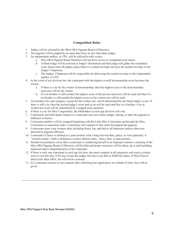## **Competition Rules**

- 1. Judges will be selected by the Miss ORA Pageant Board of Directors.
- 2. The pageant will be judged by no more than four, no less than three judges.
- 3. An independent auditor, or CPA, will be utilized to tally scores.
	- a. Miss ORA Pageant Board Members will not have access to completed score sheets.
	- b. A Head Judge will be selected at Judges' Orientation and that judge will gather the completed score sheets from all judges, place them in a sealed envelope and give the sealed envelope to the Judges' Chaperone.
	- c. The Judges' Chaperone will be responsible for delivering the sealed envelope to the independent auditor, or CPA.
- 4. In the event of any division ties, the contestant with the highest overall horsemanship score becomes the winner.
	- a. If there is a tie for the winner of horsemanship, then the highest score in the horsemanship interview will be the winner.
	- b. If a tie-breaker is still needed, the highest score of the private interview will be used and then if a tie-breaker is still needed the highest score on the written test will be used.
- 5. Tie-breakers for each category, except for the written test, will be determined by the Head Judge's score. If there is still a tie, then the second judge's score and so on will be used until the tie is broken. A tie in written test score will be determined by a judged essay question.
- 6. If there is a tie for Miss Congeniality, the titleholders in each age division will vote.
- 7. Contestants and individuals related to a contestant may not contact judges, during, or after the pageant to influence or harass.
- 8. Contestant numbers will be assigned beginning with the Little Miss Contestants up through the Miss Contestants in numerical order. Contestants will compete in this order throughout the pageant.
- 9. Contestants must wear western attire including boots, hat, and belt to all functions (unless otherwise directed by pageant officials).
- 10. Contestant's Choice is defined as a pant product with a long-sleeved shirt, jacket, or vest (optional). A "western trendy" outfit is defined as western fashion attire - dress, skirt, or pant product.
- 11. Should circumstances occur that a contestant is conducting herself in an improper manner, a meeting of the Miss ORA Pageant Board of Directors will be held and proper measures will be taken, up to and including dismissal and/or disqualification of the contestant.
- 12. If there is only one contestant in each age division, she must compete in all categories and reach a certain score to win the title. If for any reason the judges feel she is not able to fulfill the duties of Miss/Teen/Jr Miss/Little Miss ORA, she will not be crowned.
- 13. If a contestant chooses to not compete after submitting her application, no refunds of entry fees will be given.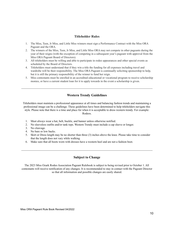## **Titleholder Rules**

- 1. The Miss, Teen, Jr Miss, and Little Miss winners must sign a Performance Contract with the Miss ORA Pageant and the ORA.
- 2. The winners of the Miss, Teen, Jr Miss, and Little Miss ORA may not compete in other pageants during the year of their reigns (with the exception of competing in a subsequent year's pageant with approval from the Miss ORA Pageant Board of Directors).
- 3. All titleholders must be willing and able to participate in rodeo appearances and other special events as scheduled by the Board of Directors.
- 4. Titleholders must understand that if they win a title the funding for all expenses including travel and wardrobe will be their responsibility. The Miss ORA Pageant is continually soliciting sponsorship to help, but it is still the primary responsibility of the winner to fund her reign.
- 5. Miss contestants must be enrolled in an accredited educational or vocational program to receive scholarship monies, or have a current student loan for it to apply towards in the event a scholarship is given.

# **Western Trendy Guidelines**

Titleholders must maintain a professional appearance at all times and balancing fashion trends and maintaining a professional image can be a challenge. These guidelines have been determined to help titleholders navigate this style. Please note that there is a time and place for when it is acceptable to dress western trendy. For example: Rodeos.

- 1. Must always wear a hat, belt, buckle, and banner unless otherwise notified.
- 2. No sleeveless outfits and/or tank tops. Western Trendy must include a cap sleeve or longer.
- 3. No cleavage.
- 4. No bare or low backs.
- 5. Skirt or Dress length may be no shorter than three (3) inches above the knee. Please take time to consider that the length does not vary while walking.
- 6. Make sure that all boots worn with dresses have a western heel and are not a fashion boot.

# **Subject to Change**

The 2023 Miss Ozark Rodeo Association Pageant Rulebook is subject to being revised prior to October 1. All contestants will receive notification of any changes. It is recommended to stay in contact with the Pageant Director so that all information and possible changes are easily shared.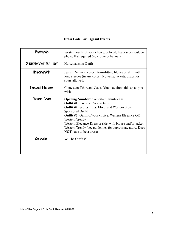# **Dress Code For Pageant Events**

| Photogenic               | Western outfit of your choice, colored, head-and-shoulders<br>photo. Hat required (no crown or banner)                                                                                                                                                                                                                                                                                                                   |  |
|--------------------------|--------------------------------------------------------------------------------------------------------------------------------------------------------------------------------------------------------------------------------------------------------------------------------------------------------------------------------------------------------------------------------------------------------------------------|--|
| Orientation/Written Test | Horsemanship Outfit                                                                                                                                                                                                                                                                                                                                                                                                      |  |
| Horsemanship             | Jeans (Denim in color), form-fitting blouse or shirt with<br>long sleeves (in any color). No vests, jackets, chaps, or<br>spurs allowed.                                                                                                                                                                                                                                                                                 |  |
| Personal Interview       | Contestant Tshirt and Jeans. You may dress this up as you<br>wish.                                                                                                                                                                                                                                                                                                                                                       |  |
| Fashion Show             | <b>Opening Number: Contestant Tshirt/Jeans</b><br><b>Outfit #1: Favorite Rodeo Outfit</b><br><b>Outfit #2:</b> Secrest Tees, More, and Western Store<br>Sponsored Outfit<br><b>Outfit #3:</b> Outfit of your choice: Western Elegance OR<br>Western Trendy<br>Western Elegance-Dress or skirt with blouse and/or jacket<br>Western Trendy (see guidelines for appropriate attire. Does<br><b>NOT</b> have to be a dress) |  |
| Coronation               | Will be Outfit $\#3$                                                                                                                                                                                                                                                                                                                                                                                                     |  |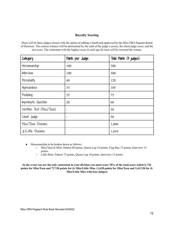# **Royalty Scoring**

There will be three judges chosen with the option of adding a fourth and approved by the Miss ORA Pageant Board of Directors. The contest winners will be determined by the total of the judge's scores, the silent judge score, and the test score. The contestant with the highest score in each age division will be crowned the winner.

| Category                 | Points per Judge | Total Points (3 judges) |
|--------------------------|------------------|-------------------------|
| Horsemanship             | 100              | 300                     |
| Interview                | 100              | 300                     |
| Personality              | 40               | 120                     |
| Appearance               | 35               | 105                     |
| Modeling                 | 25               | 75                      |
| Impromptu Question       | 20               | 60                      |
| Written Test (Miss/Teen) |                  | 50                      |
| Silent Judge             | -                | 50                      |
| Miss/Teen Divisions      |                  | 1,060                   |
| Jr/Little Divisions      |                  | 1,010                   |

- Horsemanship to be broken down as follows:
	- Miss/Teen/Jr Miss: Pattern 60 points, Queen Lap 10 points, Flag Run 15 points, Interview 15 points.
	- Little Miss: Pattern 75 points, Queen Lap 10 points, Interview 15 points.

In the event you are the only contestant in your division you must score 70% of the total score which is 742 points for Miss/Teen and 717.50 points for Jr Miss/Little Miss. (1,638 points for Miss/Teen and 1,613.50 for Jr **Miss/Little Miss with four judges)**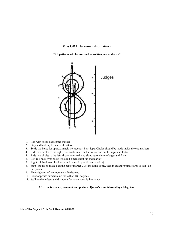#### **Miss ORA Horsemanship Pattern**

**\*All patterns will be executed as written, not as drawn\***



- 1. Run with speed past center marker
- 2. Stop and back up to center of pattern
- 3. Settle the horse for approximately 10 seconds. Start lope. Circles should be made inside the end markers
- 4. Ride two circles to the right, first circle small and slow, second circle larger and faster.
- 5. Ride two circles to the left, first circle small and slow, second circle larger and faster.
- 6. Left roll back over hocks (should be made past far end marker)
- 7. Right roll back over hocks (should be made past far end marker)
- 8. Stop (should be made past the center marker). Let the horse settle, then in an approximate area of stop, do the pivots.
- 9. Pivot right or left no more than 90 degrees.
- 10. Pivot opposite direction, no more than 180 degrees.
- 11. Walk to the judges and dismount for horsemanship interview

#### **After the interview, remount and perform Queen's Run followed by a Flag Run.**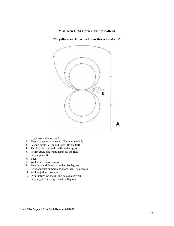#### **Miss Teen ORA Horsemanship Pattern**

**\*All patterns will be executed as written, not as drawn\***



- 1. Begin work at a lope at A
- 2. First circle, slow and small. (Begin to the left)
- 3. Second circle, larger and faster. (to the left)
- 4. Third circle slow and small (to the right)
- 5. Fourth circle larger and faster (to the right)
- 6. Stop at point B
- 7. Back
- 8. Walk a few steps forward
- 9. Pivot to the right no more than 90 degrees
- 10. Pivot opposite direction no more than 180 degrees
- 11. Walk to judge, dismount
- 12. After interview, mount and do a queen's run
- 13. Stop at gate for a flag then do a flag run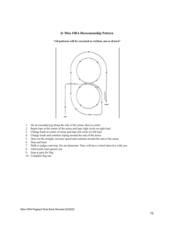## **Jr Miss ORA Horsemanship Pattern**

**\*All patterns will be executed as written, not as drawn\***



- 1. Do an extended jog along the side of the arena, then to center.
- 2. Begin lope at the center of the arena and lope right circle on right lead.
- 3. Change leads at center of arena and lope left circle on left lead
- 4. Change leads and continue loping around the end of the arena.
- 5. Once on the straight, increase speed and continue around the end of the arena.
- 6. Stop and back
- 7. Walk to judges and stop. Do not dismount. They will have a brief interview with you.
- 8. Afterwards start queens run
- 9. Stop at gate for flag
- 10. Complete flag run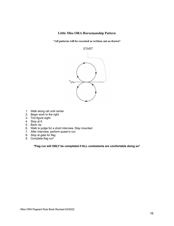# **Little Miss ORA Horsemanship Pattern**

**\*All patterns will be executed as written, not as drawn\***



- 1. Walk along rail until center
- 2. Begin work to the right
- 3. Trot figure eight
- 4. Stop at A
- 5. Back Up
- 6. Walk to judge for a short interview. Stay mounted
- 7. After interview, perform queen's run
- 8. Stop at gate for flag
- 9. Complete flag run\*

**\*Flag run will ONLY be completed if ALL contestants are comfortable doing so\***